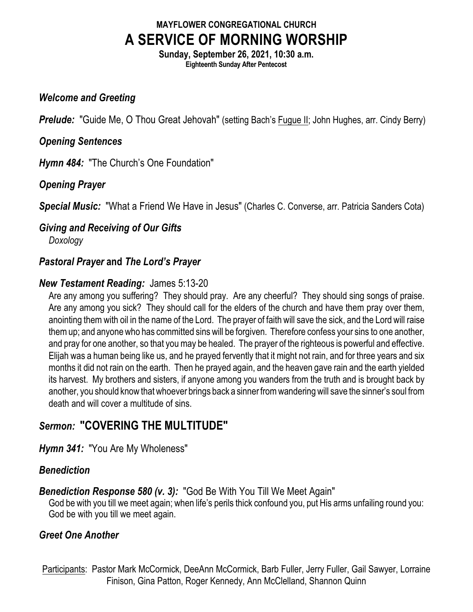# **MAYFLOWER CONGREGATIONAL CHURCH A SERVICE OF MORNING WORSHIP**

**Sunday, September 26, 2021, 10:30 a.m. Eighteenth Sunday After Pentecost**

### *Welcome and Greeting*

**Prelude:** "Guide Me, O Thou Great Jehovah" (setting Bach's Fugue II; John Hughes, arr. Cindy Berry)

### *Opening Sentences*

*Hymn 484:* "The Church's One Foundation"

## *Opening Prayer*

*Special Music:* "What a Friend We Have in Jesus" (Charles C. Converse, arr. Patricia Sanders Cota)

## *Giving and Receiving of Our Gifts*

*Doxology*

# *Pastoral Prayer* **and** *The Lord's Prayer*

## *New Testament Reading:* James 5:13-20

Are any among you suffering? They should pray. Are any cheerful? They should sing songs of praise. Are any among you sick? They should call for the elders of the church and have them pray over them, anointing them with oil in the name of the Lord. The prayer of faith will save the sick, and the Lord will raise them up; and anyone who has committed sins will be forgiven. Therefore confess your sins to one another, and pray for one another, so that you may be healed. The prayer of the righteous is powerful and effective. Elijah was a human being like us, and he prayed fervently that it might not rain, and for three years and six months it did not rain on the earth. Then he prayed again, and the heaven gave rain and the earth yielded its harvest. My brothers and sisters, if anyone among you wanders from the truth and is brought back by another, you should know that whoever brings back a sinnerfrom wandering will save the sinner's soul from death and will cover a multitude of sins.

# *Sermon:* **"COVERING THE MULTITUDE"**

*Hymn 341:* "You Are My Wholeness"

## *Benediction*

## *Benediction Response 580 (v. 3):* "God Be With You Till We Meet Again"

God be with you till we meet again; when life's perils thick confound you, put His arms unfailing round you: God be with you till we meet again.

# *Greet One Another*

Participants: Pastor Mark McCormick, DeeAnn McCormick, Barb Fuller, Jerry Fuller, Gail Sawyer, Lorraine Finison, Gina Patton, Roger Kennedy, Ann McClelland, Shannon Quinn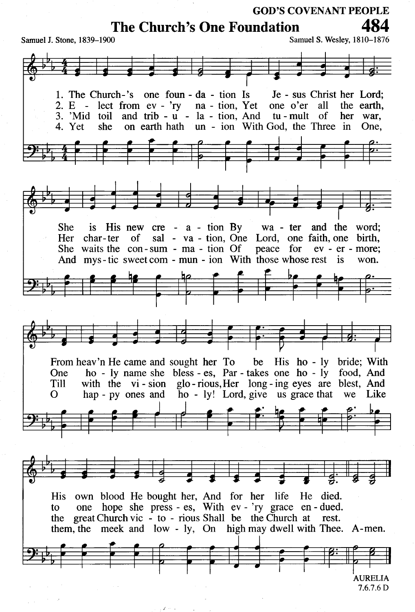# **GOD'S COVENANT PEOPLE The Church's One Foundation** Samuel J. Stone, 1839-1900 Samuel S. Wesley, 1810-1876  $\frac{1}{2}$   $\frac{1}{2}$   $\frac{1}{2}$ 1. The Church-'s one foun - da - tion Is Je - sus Christ her Lord; 2. E - lect from ev - 'ry na - tion, Yet one o'er all the earth,<br>3. 'Mid toil and trib - u - la - tion, And tu - mult of her war, she on earth hath un - ion With God, the Three in 4. Yet One. is His new cre - a - tion By wa - ter and the word; **She** Her char-ter of sal - va - tion, One Lord, one faith, one birth, She waits the con-sum - ma - tion Of peace for ev - er - more; And mys-tic sweet com - mun - ion With those whose rest is won. From heav'n He came and sought her To be His ho-ly bride; With One ho-ly name she bless - es, Par - takes one ho-ly food, And with the vi-sion glo-rious, Her long-ing eyes are blest, And Till hap - py ones and  $\overline{h}$  ho - ly! Lord, give us grace that  $\Omega$ we Like ョ  $\Box$  $\overline{\overline{\phantom{0}}\hspace{0.025cm}}$ His own blood He bought her, And for her life He died. one hope she press - es, With ev - 'ry grace en - dued. to the great Church vic - to - rious Shall be the Church at rest. them, the meek and low - ly, On high may dwell with Thee. A-men.

**AURELIA**  $7.6.7.6 D$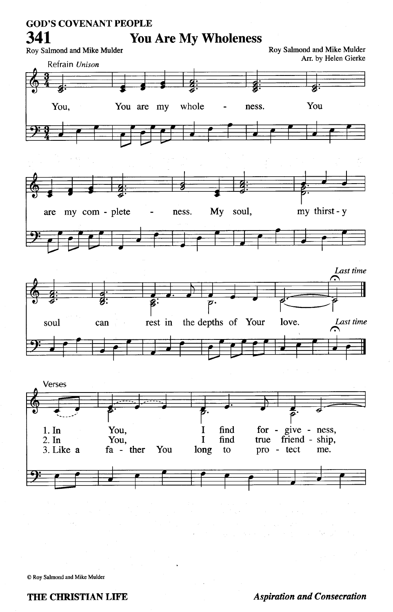#### **GOD'S COVENANT PEOPLE You Are My Wholeness** 341 Roy Salmond and Mike Mulder

Roy Salmond and Mike Mulder Arr. by Helen Gierke



C Roy Salmond and Mike Mulder

#### THE CHRISTIAN LIFE